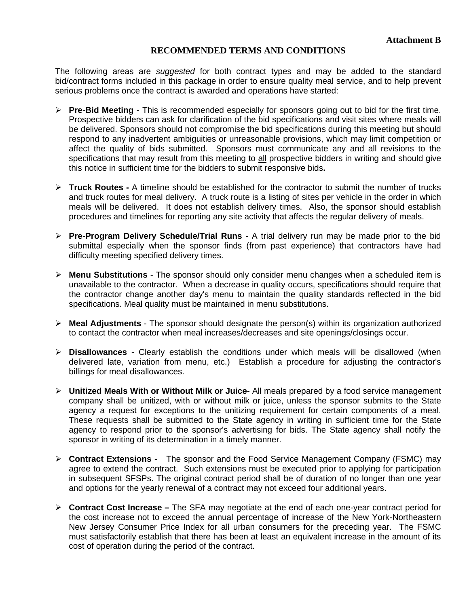## **RECOMMENDED TERMS AND CONDITIONS**

The following areas are *suggested* for both contract types and may be added to the standard bid/contract forms included in this package in order to ensure quality meal service, and to help prevent serious problems once the contract is awarded and operations have started:

- **Pre-Bid Meeting -** This is recommended especially for sponsors going out to bid for the first time. Prospective bidders can ask for clarification of the bid specifications and visit sites where meals will be delivered. Sponsors should not compromise the bid specifications during this meeting but should respond to any inadvertent ambiguities or unreasonable provisions, which may limit competition or affect the quality of bids submitted. Sponsors must communicate any and all revisions to the specifications that may result from this meeting to all prospective bidders in writing and should give this notice in sufficient time for the bidders to submit responsive bids**.**
- **Truck Routes -** A timeline should be established for the contractor to submit the number of trucks and truck routes for meal delivery. A truck route is a listing of sites per vehicle in the order in which meals will be delivered. It does not establish delivery times. Also, the sponsor should establish procedures and timelines for reporting any site activity that affects the regular delivery of meals.
- **Pre-Program Delivery Schedule/Trial Runs**  A trial delivery run may be made prior to the bid submittal especially when the sponsor finds (from past experience) that contractors have had difficulty meeting specified delivery times.
- **Menu Substitutions** The sponsor should only consider menu changes when a scheduled item is unavailable to the contractor. When a decrease in quality occurs, specifications should require that the contractor change another day's menu to maintain the quality standards reflected in the bid specifications. Meal quality must be maintained in menu substitutions.
- **Meal Adjustments** The sponsor should designate the person(s) within its organization authorized to contact the contractor when meal increases/decreases and site openings/closings occur.
- **Disallowances -** Clearly establish the conditions under which meals will be disallowed (when delivered late, variation from menu, etc.) Establish a procedure for adjusting the contractor's billings for meal disallowances.
- **Unitized Meals With or Without Milk or Juice-** All meals prepared by a food service management company shall be unitized, with or without milk or juice, unless the sponsor submits to the State agency a request for exceptions to the unitizing requirement for certain components of a meal. These requests shall be submitted to the State agency in writing in sufficient time for the State agency to respond prior to the sponsor's advertising for bids. The State agency shall notify the sponsor in writing of its determination in a timely manner.
- **Contract Extensions** The sponsor and the Food Service Management Company (FSMC) may agree to extend the contract. Such extensions must be executed prior to applying for participation in subsequent SFSPs. The original contract period shall be of duration of no longer than one year and options for the yearly renewal of a contract may not exceed four additional years.
- **Contract Cost Increase –** The SFA may negotiate at the end of each one-year contract period for the cost increase not to exceed the annual percentage of increase of the New York-Northeastern New Jersey Consumer Price Index for all urban consumers for the preceding year. The FSMC must satisfactorily establish that there has been at least an equivalent increase in the amount of its cost of operation during the period of the contract.